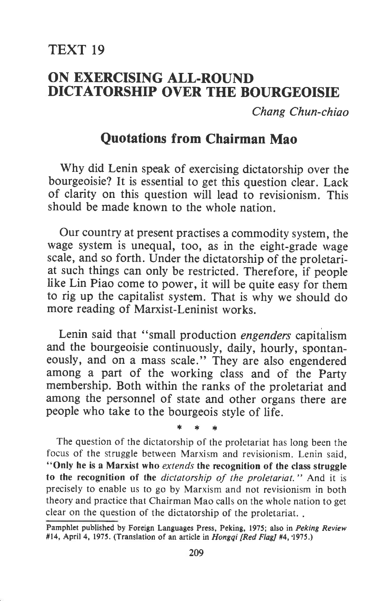## ON EXERCISING ALL.ROUND DICTATORSHIP OVER THE BOURGEOISIE

Chang Chun-chiao

## Quotations from Chairman Mao

Why did Lenin speak of exercising dictatorship over the bourgeoisie? It is essential to get this question clear. Lack of clarity on this question will lead to revisionism. This should be made known to the whole nation.

Our country at present practises a commodity system, the wage system is unequal, too, as in the eight-grade wage scale, and so forth. Under the dictatorship of the proletariat such things can only be restricted. Therefore, if people like Lin Piao come to power, it will be quite easy for them to rig up the capitalist system. That is why we should do more reading of Marxist-Leninist works.

Lenin said that "small production engenders capitalism and the bourgeoisie continuously, daily, hourly, spontaneously, and on a mass scale." They are also engendered among a part of the working class and of the Party membership. Both within the ranks of the proletariat and among the personnel of state and other organs there are people who take to the bourgeois style of life.

tf ri ,f

The question of the dictatorship of the proletariat has long been the focus of the struggle between Marxism and revisionism. Lenin said, "Only he is a Marxist who extends the recognition of the class struggle to the recognition of the dictatorship of the proletariat. " And it is precisely to enable us to go by Marxism and not revisionism in both theory and practice that Chairman Mao calls on the whole nation to get clear on the question of the dictatorship of the proletariat. ,

Pamphlet published by Foreign Languages Press, Peking, 1975; also in Peking Review #14, April 4, 1975. (Translation of an article in Hongqi [Red Flag] #4, 1975.)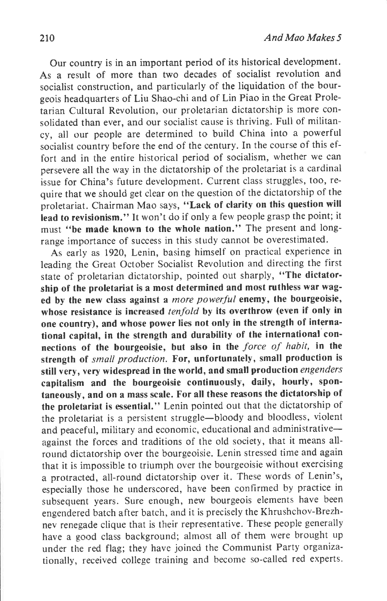Our country is in an important period of its historical development. As a result of more than two decades of socialist revolution and socialist construction, and particularly of the liquidation of the bourgeois headquarters of Liu Shao-chi and of Lin Piao in the Great Proletarian Cultural Revolution, our proletarian dictatorship is more consolidated than ever, and our socialist cause is thriving. Full of militancy, all our people are determined to build China into a powerful socialist country before the end of the century. In the course of this effort and in the entire historical period of socialism, whether we can persevere all the way in the dictatorship of the proletariat is a cardinal issue for China's future development. Current class struggles, too, require that we should get clear on the question of the dictatorship of the proletariat. Chairman Mao says, "Lack of clarity on this question will lead to revisionism." It won't do if only a few people grasp the point; it must "be made known to the whole nation." The present and longrange importance of success in this study cannot be overestimated.

As early as 1920, Lenin, basing himself on practical experience in leading the Great October Socialist Revolution and directing the first state of proletarian dictatorship, pointed out sharply, "The dictatorship of the proletariat is a most determined and most ruthless war waged by the new class against a *more powerful* enemy, the bourgeoisie, whose resistance is increased *tenfold* by its overthrow (even if only in one country), and whose power lies not only in the strength of international capital, in the strength and durability of the international connections of the bourgeoisie, but also in the force of habit, in the strength of small production. For, unfortunately, small production is still very, very widespread in the world, and small production engenders capitalism and the bourgeoisie continuously, daily, hourly, spontaneously, and on a mass scale. For all these reasons the dictatorship of the proletariat is essential." Lenin pointed out that the dictatorship of the proletariat is a persistent struggle-bloody and bloodless, violent and peaceful, military and economic, educational and administrativeagainst the forces and traditions of the old society, that it means allround dictatorship over the bourgeoisie. Lenin stressed time and again that it is impossible to triumph over the bourgeoisie without exercising a protracted, all-round dictatorship over it. These words of Lenin's, especially those he underscored, have been confirmed by practice in subsequent years. Sure enough, new bourgeois elements have been engendered batch after batch, and it is precisely the Khrushchov-Brezhnev renegade clique that is their representative. These people generally have a good class background; almost all of them were brought up under the red flag; they have joined the Communist Party organizationally, received college training and become so-called red experts.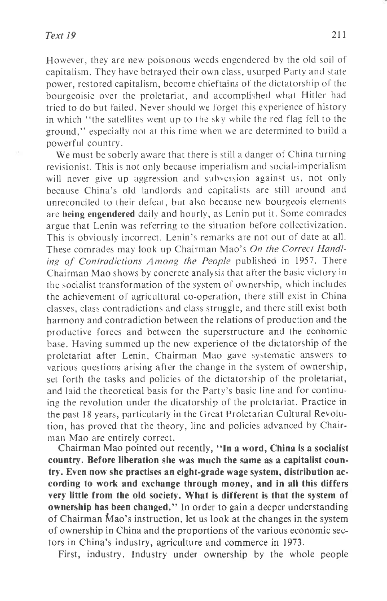However, they are new poisonous weeds engendered by the old soil of capitalism. They have betrayed their own class, usurped Party and state power, restored capitalism, become chieftains of the dictatorship of the bourgeoisie over the proletariat, and accomplished what Hitler had tried to do but failed. Never should we forget this experience of history in which "the satellites went up to the sky while the red flag fell to the ground," especially not at this time when we are determined to build <sup>a</sup> powerful country.

We must be soberly aware that there is still a danger of China turning revisionist. This is not only because imperialism and social-imperialism will never give up aggression and subversion against us, not only because China's old landlords and capitalists are still around and unreconciled to their defeat, but also because nerv bourgeois elements are being engendered daily and hourly, as Lenin put it. Some comrades argue that Lenin was referring to the situation before collectivization. This is obviously incorrect. Lenin's remarks are not out of date at all. These comrades may look up Chairman Mao's On the Correct Handling of Contradictions Among the People published in 1957. There Chairman Mao shows by concrete analysis that aiter the basic victory in the socialist transformation of the system of ownership, which includes the achievement of agricultural co-operation, there still exist in China classes, class contradictions and class struggle, and there still exist both harmony and contradiction between the relations of production and the productive forces and between the superstructure and the ecohomic base. Having summed up the new experience of the dictatorship of the proletariat after Lenin, Chairman Mao gave systematic answers to various questions arising after the change in the system of ownership, set forth the tasks and policies of the dictatorship of the proletariat, and laid the theoretical basis for the Party's basic line and for continuing the revolution under the dicatorship of the proletariat. Practice in the past l8 years, particularly in the Great Proletarian Cultural Revolution, has proved that the theory, line and policies advanced by Chairman Mao are entirely correct.

Chairman Mao pointed out recently, "In a word, China is a socialist country. Before liberation she was much the same as a capitalist country. Even now she practises an eight-grade wage system, distribution according to work and exchange through money, and in all this differs very little from the old society. What is different is that the system of ownership has been changed." In order to gain a deeper understanding of Chairman Mao's instruction, let us look at the changes in the system of ownership in China and the proportions of the various economic sectors in China's industry, agriculture and commerce in 1973.

First, industry. Industry under ownership by the whole people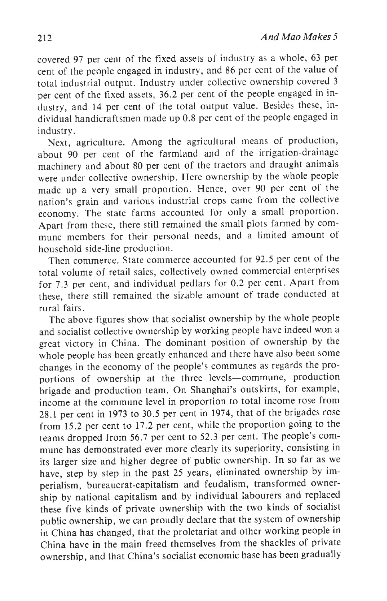covered 97 per cent of the fixed assets of industry as a whole, 63 per cent of the people engaged in industry, and 86 per cent of the value of total industrial output. Industry under collective ownership covered <sup>3</sup> per cent of the fixed assets, 36.2 per cent of the people engaged in industry, and l4 per cent of the total output value. Besides these, individual handicraftsmen made up 0.8 per cent of the people engaged in industry.

Next, agriculture. Among the agricultural means of production, about 90 per cent of the farmland and of the irrigation-drainage machinery and about 80 per cent of the tractors and draught animals were under collective ownership. Here ownership by the whole people made up a very small proportion. Hence, over 90 per cent of the nation's grain and various industrial crops came from the collective economy. The state farms accounted for only a small proportion. Apart from these, there still remained the small plots farmed by commune members for their personal needs, and a limited amount of household side-line production.

Then commerce. State commerce accounted for 92.5 per cent of the total volume of retail sales, collectively owned commercial enterprises for 7.3 per cent, and individual pedlars for 0.2 per cent. Apart from these, there still remained the sizable amount of trade conducted at rural fairs.

The above figures show that socialist ownership by the whole people and socialist collective ownership by working people have indeed won <sup>a</sup> great victory in China. The dominant position of ownership by the whole people has been greatly enhanced and there have also been some changes in the economy of the people's communes as regards the proportions of ownership at the three levels-commune, production brigade and production team. On Shanghai's outskirts, for example, income at the commune level in proportion to total income rose from 28.1 per cent in 1973 to 30.5 per cent in 1974, that of the brigades rose from 15.2 per cent to 17.2 per cent, while the proportion going to the teams dropped from 56.7 per cent to 52.3 per cent. The people's commune has demonstrated ever more clearly its superiority, consisting in its larger size and higher degree of public ownership. In so far as we have, step by step in the past 25 years, eliminated ownership by imperialism, bureaucrat-capitalism and feudalism, transformed ownership by national capitalism and by individual iabourers and replaced these five kinds of private ownership with the two kinds of socialist public ownership, we can proudly declare that the system of ownership in China has changed, that the proletariat and other working people in China have in the main freed themselves from the shackles of private ownership, and that china's socialist economic base has been gradually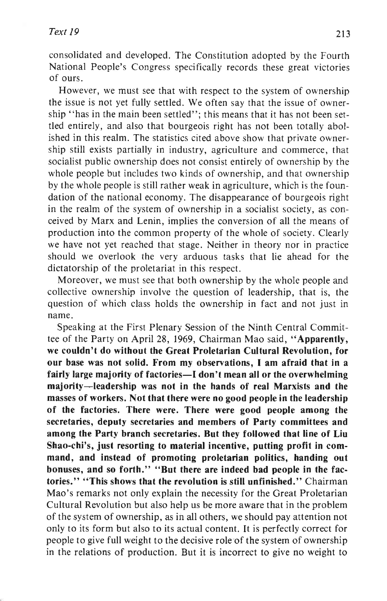consolidated and developed. The Constitution adopted by the Fourth National People's Congress specifically records these great victories of ours.

However, we must see that with respect to the system of ownership the issue is not yet fully settled. We often say that the issue of ownership "has in the main been settled"; this means that it has not been settled entirely, and also that bourgeois right has not been totally abolished in this realm. The statistics cited above show that private ownership still exists partially in industry, agriculture and commerce, that socialist public ownership does not consist entirely of ownership by the whole people but includes two kinds of ownership, and that ownership by the whole people is still rather weak in agriculture, which is the foundation of the national economy. The disappearance of bourgeois right in the realm of the system of ownership in a socialist society, as conceived by Marx and Lenin, implies the conversion of all the means of production into the common property of the whole of society. Clearly we have not yet reached that stage. Neither in theory nor in practice should we overlook the very arduous tasks that lie ahead for the dictatorship of the proletariat in this respect.

Moreover, we must see that both ownership by the whole people and collective ownership involve the question of leadership, that is, the question of which class holds the ownership in fact and not just in name.

Speaking at the First Plenary Session of the Ninth Central Committee of the Party on April 28, 1969, Chairman Mao said, "Apparently, we couldn't do without the Great Proletarian Cultural Revolution, for our base was not solid. From my observations, I am afraid that in <sup>a</sup> fairly large majority of factories—I don't mean all or the overwhelming majority-leadership was not in the hands of real Marxists and the masses of workers. Not that there were no good people in the leadership of the factories. There were. There were good people among the secretaries, deputy secretaries and members of Party committees and among the Party branch secretaries. But they followed that line of Liu Shao-chi's, just resorting to material incentive, putting profit in command, and instead of promoting proletarian politics, handing out bonuses, and so forth." "But there are indeed bad people in the factories." "This shows that the revolution is still unfinished." Chairman Mao's remarks not only explain the necessity for the Great Proletarian Cultural Revolution but also help us be more aware that in the problem of the system of ownership, as in all others, we should pay attention not only to its form but also to its actual content. It is perfectly correct for people to give full weight to the decisive role of the systern of ownership in the relations of production. But it is incorrect to give no weight to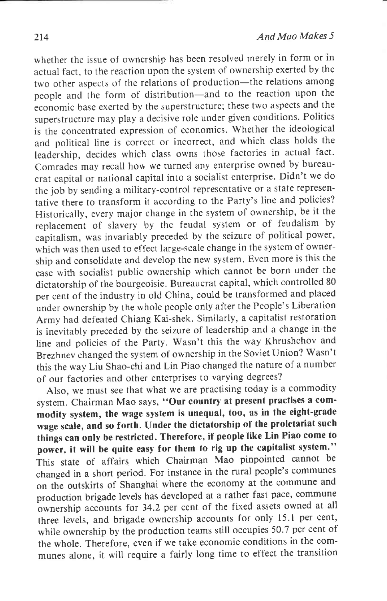whether the issue of ownership has been resolved merely in form or in actual fact, to the reaction upon the system of ownership exerted by the two other aspects of the relations of production-the relations among people and the form of distribution-and to the reaction upon the economic base exerted by the superstructure; these two aspects and the superstructure may play a decisive role under given conditions. Politics is the concentrated expression of economics. Whether the ideological and political line is correct or incorrect, and which class holds the leadership, decides which class owns those factories in actual fact. comrades may recall how we turned any enterprise owned by bureaucrat capital or national capital into a socialist enterprise. Didn't we do the job by sending a military-control representative or a state representative there to transform it according to the Party's line and policies? Historically, every major change in the system of ownership, be it the replacement of slavery by the feudal system or of feudalism by capitalism, was invariably preceded by the seizure of political power, which was then used to effect large-scale change in the system of ownership and consolidate and develop the new system. Even more is this the case with socialist public ownership which cannot be born under the dictatorship of the bourgeoisie. Bureaucrat capital, which controlled <sup>80</sup> per cent of the industry in old China, could be transformed and placed under ownership by the whole people only after the People's Liberation Army had defeated Chiang Kai-shek. Similarly, a capitalist restoration is inevitably preceded by the seizure of leadership and a change in'the line and policies of the Party. wasn't this the way Khrushchov and Brezhnev changed the system of ownership in the Soviet Union? wasn't this the way Liu Shao-chi and Lin Piao changed the nature of a number of our factories and other enterprises to varying degrees?

AIso, we must see that what we are practising today is a commodity system. Chairman Mao says, "Our country at present practises a commodity system, the wage system is unequal, too, as in the eight-grade wage scale, and so forth. Under the dictatorship of the proletariat such things can only be restricted. Therefore, if people like Lin Piao come to power, it will be quite easy for them to rig up the capitalist system." This state of affairs. which chairman Mao pinpointed cannot be changed in a short period. For instance in the rural people's communes on the outskirts of Shanghai where the economy at the commune and production brigade levels has developed at a rather fast pace, commune ownership accounts for 34.2 per cent of the fixed assets owned at all three levels, and brigade ownership accounts for only 15.1 per cent, while ownership by the production teams still occupies 50.7 per cent of the whole. Therefore, even if we take economic conditions in the communes alone, it will require a fairly long time to effect the transition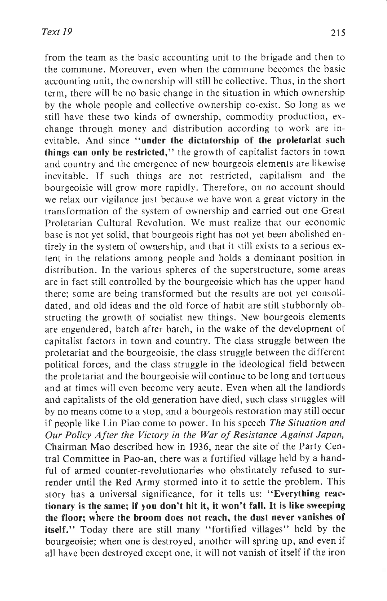from the team as the basic accounting unit to the brigade and then to the commune. Moreover, even when the commune becomes the basic accounting unit, the ownership will still be collective. Thus, in the short term, there will be no basic change in the situation in which ownership by the whole people and collective ownership co-exist. So long as we still have these two kinds of ownership, commodity production, exchange through money and distribution according to work are inevitable. And since "under the dictatorship of the proletariat such things can only be restricted," the growth of capitalist factors in town and country and the emergence of new bourgeois elements are likewise inevitable. If such things are not restricted, capitalism and the bourgeoisie will grow more rapidly. Therefore, on no account should we relax our vigilance just because we have won a great victory in the transformation of the system of ownership and carried out one Great Proletarian Cultural Revolution. We must realize that our economic base is not yet solid, that bourgeois right has not yet been abolished entirely in the system of ownership, and that it still exists to a serious extent in the relations among people and holds a dominant position in distribution. In the various spheres of the superstructure, some areas are in fact still controlled by the bourgeoisie which has the upper hand there; some are being transformed but the results are not yet consolidated, and old ideas and the old force of habit are still stubbornly obstructing the growth of socialist new things. New bourgeois elements are engendered, batch after batch, in the wake of the development of capitalist factors in town and country. The class struggle between the proletariat and the bourgeoisie, the class struggle between the different political forces, and the class struggle in the ideological field between the proletariat and the bourgeoisie will continue to be long and tortuous and at times will even become very acute. Even when all the landlords and capitalists of the old generation have died, such class struggles will by no means come to a stop, and a bourgeois restoration may stiil occur if people like Lin Piao come to power. In his speech The Situation and Our Policy After the Victory in the War of Resistance Against Japan, Chairman Mao described how in 1936, near the site of the Party Central Committee in Pao-an, there was a fortified village held by a handful of armed counter-revolutionaries who obstinately refused to surrender until the Red Army stormed into it to settle the problem. This story has a universal significance, for it tells us: "Everything reactionary is the same; if you don't hit it, it won't fall. It is like sweeping the floor; where the broom does not reach, the dust never vanishes of itself." Today there are still many "fortified villages" held by the bourgeoisie; when one is destroyed, another will spring up, and even if all have been destroyed except one, it will not vanish of itself if the iron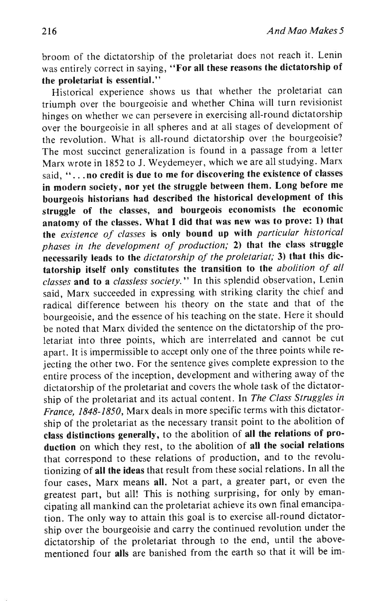broom of the dictatorship of the proletariat does not reach it. Lenin was entirely correct in saying, "For all these reasons the dictatorship of the proletariat is essential."

Historical experience shows us that whether the proletariat can triumph over the bourgeoisie and whether China will turn revisionist hinges on whether we can persevere in exercising all-round dictatorship over the bourgeoisie in all spheres and at all stages of development of the revolution. What is all-round dictatorship over the bourgeoisie? The most succinct generalization is found in a passage from a letter Marx wrote in 1852 to J. Weydemeyer, which we are all studying. Marx said, "...no credit is due to me for discovering the existence of classes in modern society, nor yet the struggle between them. Long before me bourgeois historians had described the historical development of this struggle of the classes, and bourgeois economists the economic anatomy of the classes. What I did that was new was to prove: l) that the existence of classes is only bound up with particular historical phases in the development of production; 2) that the class struggle necessarily leads to the dictatorship of the proletariat; 3) that this dictatorship itself only constitutes the transition to the abolition of all classes and to a classless society." In this splendid observation, Lenin said, Marx succeeded in expressing with striking clarity the chief and radical difference between his theory on the state and that of the bourgeoisie, and the essence of his teaching on the state. Here it should be noted that Marx divided the sentence on the dictatorship of the proletariat into three points, which are interrelated and cannot be cut apart. It is impermissible to accept only one of the three points while rejecting the other two. For the sentence gives complete expression to the entire process of the inception, development and withering away of the dictatorship of the proletariat and covers the whole task of the dictatorship of the proletariat and its actual content. In The Class Struggles in France, 1848-1850, Marx deals in more specific terms with this dictatorship of the proletariat as the necessary transit point to the abolition of class distinctions generally, to the abolition of all the relations of production on which they rest, to the abolition of all the social relations that correspond to these relations of production, and to the revolutionizing of all the ideas that result from these social relations. In all the four cases, Marx means all. Not a part, a greater part, or even the greatest part, but all! This is nothing surprising, for only by emancipating all mankind can the proletariat achieve its own final emancipation. The only way to attain this goal is to exercise all-round dictatorship over the bourgeoisie and carry the continued revolution under the dictatorship of the proletariat through to the end, until the abovementioned four alls are banished from the earth so that it will be im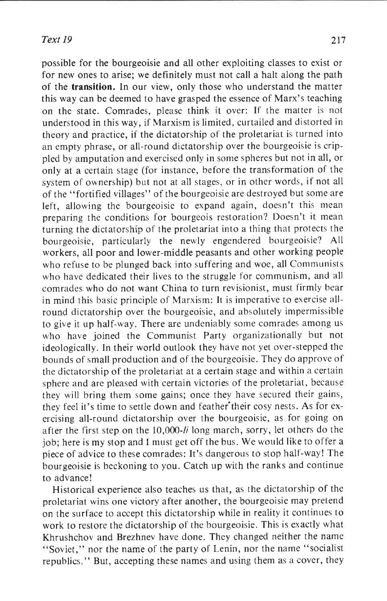possible for the bourgeoisie and all other exploiting classes to exist or for new ones to arise; we definitely must not call a halt along the path of the transition. In our view, only those who understand the matter this way can be deemed to have grasped the essence of Marx's teaching on the state. Comrades, please think it over: If the matter is not understood in this way, if Marxism is limited, curtailed and distorted in theory and practice, if the dictatorship of the proletariat is turned into an empty phrase, or all-round dictatorship over the bourgeoisie is crippled by amputation and exercised only in some spheres but not in all, or only at a certain stage (for instance, before the transformation of the system of ownership) but not at all stages, or in other words, if not all of the "fortified villages" of the bourgeoisie are destroyed but some are left, allowing the bourgeoisie to expand again, doesn't this mean preparing the conditions for bourgeois restoration? Doesn't it mean turning the dictatorship of the proletariat into a thing that protects the bourgeoisie, particularly the newly engendered bourgeoisie? All workers, all poor and lower-middle peasants and other working people who refuse to be plunged back into suffering and woe, all Communists who have dedicated their lives to the struggle for communism, and all comrades who do not want China to turn revisionist, must iirmly bear in mind this basic principle of Marrism: It is imperative to exercise allround dictatorship over the bourgeoisie, and absolutely impermissible to give it up half-way. There are undeniably some comrades among us who have joined the Communist Party organizationally but not ideologically. In their world outlook they have not yet over-stepped the bounds of small production and of the bourgeoisie. They do approve of the dictatorship of the proletariat at a certain stage and within a certain sphere and are pleased with certain victories of the proletariat, because they will bring them some gains; once they have secured their gains, they feel it's time to settle down and feather'their cosy nests. As for exercising all-round dictatorship over the bourgeoisie, as for going on after the first step on the 10,000-li long march, sorry, let others do the job; here is my stop and I must get off the bus. We would like to offer a piece of advice to these comrades: It's dangerous to stop half-way! The bourgeoisie is beckoning to you. Catch up with the ranks and continue to advance!

Historical experience also teaches us that, as the dictatorship of the proletariat wins one victory after another, the bourgeoisie may pretend on the surface to accept this dictatorship while in reality it continues to work to restore the dictatorship of the bourgeoisie. This is exactly what Khrushchov and Brezhnev have done. They changed neither the name "Soviet," nor the name of the party of Lenin, nor the name "socialist" republics." But, accepting these names and using them as a cover, they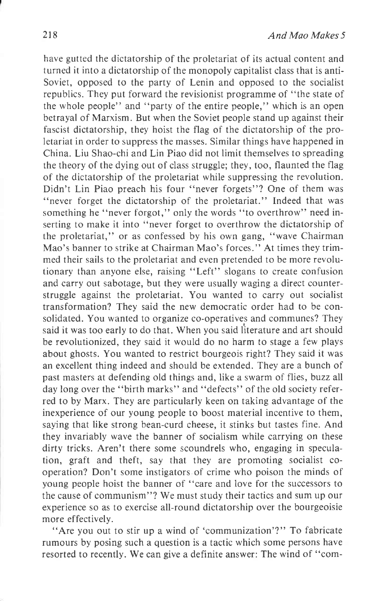have gutted the dictatorship of the proletariat of its actual content and turned it into a dictatorship of the monopoly capitalist class that is anti-Soviet, opposed to the party of Lenin and opposed to the socialist republics. They put forward the revisionist programme of "the state of the whole people" and "party of the entire people," which is an open betrayal of Marxism. But when the Soviet people stand up against their fascist dictatorship, they hoist the flag of the dictatorship of the proletariat in order to suppress the masses. Similar things have happened in China. Liu Shao-chi and Lin Piao did not limit themselves to spreading the theory of the dying out of class struggle; they, too, flaunted the flag of the dictatorship of the proletariat while suppressing the revolution. Didn't Lin Piao preach his four "never forgets"? One of them was "never forget the dictatorship of the proletariat." Indeed that was something he "never forgot," only the words "to overthrow" need inserting to make it into "never forget to overthrow the dictatorship of the proletariat," or as confessed by his own gang, "wave Chairman Mao's banner to strike at Chairman Mao's forces. " At times they trimmed their sails to the proletariat and even pretended to be more revolutionary than anyone else, raising "Left" slogans to create confusion and carry out sabotage, but they were usually waging a direct counterstruggle against the proletariat. You wanted to carry out socialist transformation? They said the new democratic order had to be consolidated. You wanted to organize co-operatives and communes? They said it was too early to do that. When you said literature and art should be revolutionized, they said it would do no harm to stage a few plays about ghosts. You wanted to restrict bourgeois right? They said it was an excellent thing indeed and should be extended. They are a bunch of past masters at defending old things and, like a swarm of flies, buzz all day long over the "birth marks" and "defects" of the old society referred to by Marx. They are particularly keen on taking advantage of the inexperience of our young people to boost material incentive to them, saying that like strong bean-curd cheese, it stinks but tastes fine. And they invariably wave the banner of socialism while carrying on these dirty tricks. Aren't there some scoundrels who, engaging in speculation, graft and theft, say that they are promoting socialist cooperation? Don't some instigators of crime who poison the minds of young people hoist the banner of "care and love for the successors to the cause of communism"? We must study their tactics and sum up our experience so as to exercise all-round dictatorship over the bourgeoisie more effectively.

"Are you out to stir up a wind of 'communization'?" To fabricate rumours by posing such a question is a tactic which some persons have resorted to recently. We can give a definite answer: The wind of "com-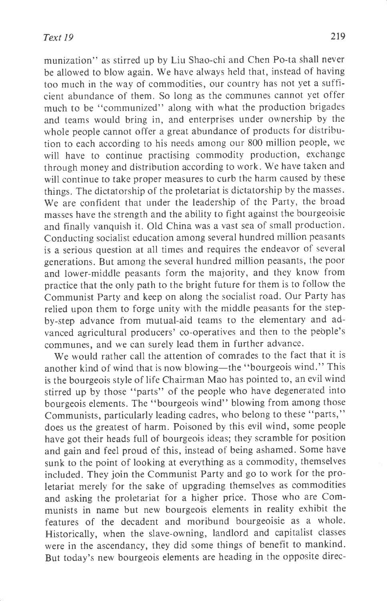munization" as stirred up by Liu Shao-chi and Chen Po-ta shall never be allowed to blow again. We have always held that, instead of having too much in the way of commodities, our country has not yet a sufficient abundance of them. So long as the communes cannot yet offer much to be "communized" along with what the production brigades and teams would bring in, and enterprises under ownership by the whole people cannot offer a great abundance of products for distribution to each according to his needs among our 800 million people, we will have to continue practising commodity production, exchange through money and distribution according to work. We have taken and will continue to take proper measures to curb the harm caused by these things. The dictatorship of the proletariat is dictatorship by the masses. We are confident that under the leadership of the Party, the broad masses have the strength and the ability to fight against the bourgeoisie and finally vanquish it. Old China was a vast sea of small production. Conducting socialist education among several hundred million peasants is a serious question at all times and requires the endeavor of several generations. But among the several hundred million peasants, the poor and lower-middle peasants form the majority, and they know from practice that the only path to the bright future for them is to follow the Communist Party and keep on along the socialist road. Our Party has relied upon them to forge unity with the middle peasants for the stepby-step advance from mutual-aid teams to the elementary and advanced agricultural producers' co-operatives and then to the pebple's communes, and we can surely lead them in further advance.

We would rather call the attention of comrades to the fact that it is another kind of wind that is now blowing-the "bourgeois wind." This is the bourgeois style of life Chairman Mao has pointed to, an evil wind stirred up by those "parts" of the people who have degenerated into bourgeois elements. The "bourgeois wind" blowing from among those Communists, particularly leading cadres, who belong to these "parts," does us the greatest of harm. Poisoned by this evil wind, some people have got their heads full of bourgeois ideas; they scramble for position and gain and feel proud of this, instead of being ashamed. Some have sunk to the point of looking at everything as a commodity, themselves included. They join the Communist Party and go to work for the proletariat merely for the sake of upgrading themselves as commodities and asking the proietariat for a higher price. Those who are Communists in name but new bourgeois elements in reality exhibit the features of the decadent and moribund bourgeoisie as a whole. Historically, when the slave-owning, landlord and capitalist classes were in the ascendancy, they did some things of benefit to mankind. But today's new bourgeois elements are heading in the opposite direc